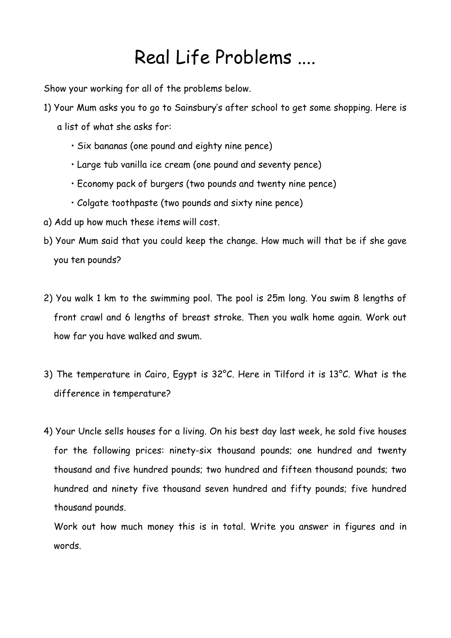## Real Life Problems ....

Show your working for all of the problems below.

- 1) Your Mum asks you to go to Sainsbury's after school to get some shopping. Here is a list of what she asks for:
	- Six bananas (one pound and eighty nine pence)
	- Large tub vanilla ice cream (one pound and seventy pence)
	- Economy pack of burgers (two pounds and twenty nine pence)
	- Colgate toothpaste (two pounds and sixty nine pence)
- a) Add up how much these items will cost.
- b) Your Mum said that you could keep the change. How much will that be if she gave you ten pounds?
- 2) You walk 1 km to the swimming pool. The pool is 25m long. You swim 8 lengths of front crawl and 6 lengths of breast stroke. Then you walk home again. Work out how far you have walked and swum.
- 3) The temperature in Cairo, Egypt is 32°C. Here in Tilford it is 13°C. What is the difference in temperature?
- 4) Your Uncle sells houses for a living. On his best day last week, he sold five houses for the following prices: ninety-six thousand pounds; one hundred and twenty thousand and five hundred pounds; two hundred and fifteen thousand pounds; two hundred and ninety five thousand seven hundred and fifty pounds; five hundred thousand pounds.

 Work out how much money this is in total. Write you answer in figures and in words.